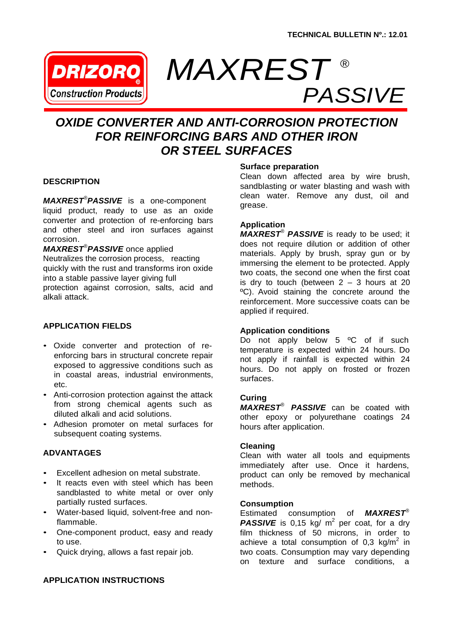

# *MAXREST ® PASSIVE*

## *OXIDE CONVERTER AND ANTI-CORROSION PROTECTION FOR REINFORCING BARS AND OTHER IRON OR STEEL SURFACES*

### **DESCRIPTION**

*MAXREST®PASSIVE* is a one-component liquid product, ready to use as an oxide converter and protection of re-enforcing bars and other steel and iron surfaces against corrosion.

*MAXREST®PASSIVE* once applied Neutralizes the corrosion process, reacting quickly with the rust and transforms iron oxide into a stable passive layer giving full protection against corrosion, salts, acid and alkali attack.

### **APPLICATION FIELDS**

- Oxide converter and protection of reenforcing bars in structural concrete repair exposed to aggressive conditions such as in coastal areas, industrial environments, etc.
- Anti-corrosion protection against the attack from strong chemical agents such as diluted alkali and acid solutions.
- Adhesion promoter on metal surfaces for subsequent coating systems.

#### **ADVANTAGES**

- Excellent adhesion on metal substrate.
- It reacts even with steel which has been sandblasted to white metal or over only partially rusted surfaces.
- Water-based liquid, solvent-free and nonflammable.
- One-component product, easy and ready to use.
- Quick drying, allows a fast repair job.

### **Surface preparation**

Clean down affected area by wire brush, sandblasting or water blasting and wash with clean water. Remove any dust, oil and grease.

#### **Application**

*MAXREST® PASSIVE* is ready to be used; it does not require dilution or addition of other materials. Apply by brush, spray gun or by immersing the element to be protected. Apply two coats, the second one when the first coat is dry to touch (between  $2 - 3$  hours at 20 ºC). Avoid staining the concrete around the reinforcement. More successive coats can be applied if required.

### **Application conditions**

Do not apply below 5 °C of if such temperature is expected within 24 hours. Do not apply if rainfall is expected within 24 hours. Do not apply on frosted or frozen surfaces.

#### **Curing**

*MAXREST® PASSIVE* can be coated with other epoxy or polyurethane coatings 24 hours after application.

### **Cleaning**

Clean with water all tools and equipments immediately after use. Once it hardens, product can only be removed by mechanical methods.

# **Consumption**<br>Estimated co

Estimated consumption of *MAXREST®* **PASSIVE** is 0,15 kg/  $m^2$  per coat, for a dry film thickness of 50 microns, in order to achieve a total consumption of 0,3  $kg/m^2$  in two coats. Consumption may vary depending on texture and surface conditions, a

### **APPLICATION INSTRUCTIONS**